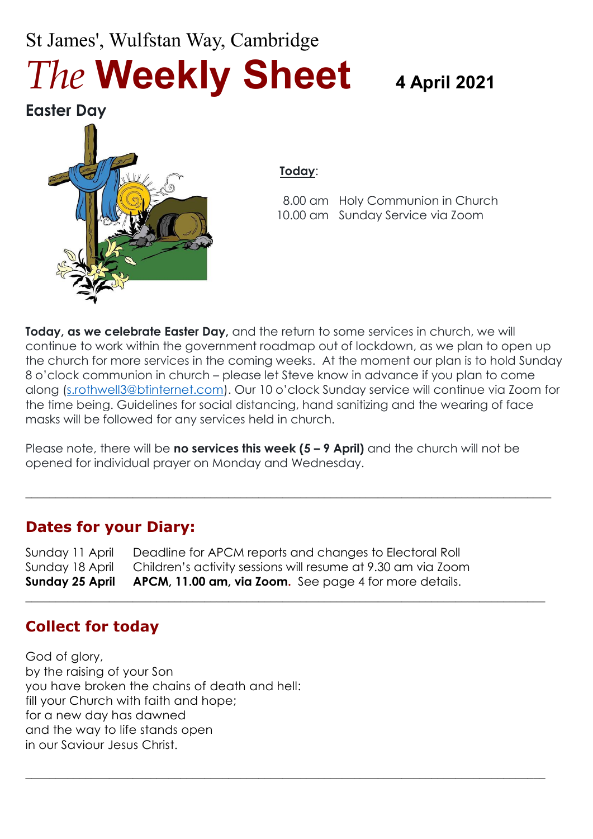# St James', Wulfstan Way, Cambridge *The* **Weekly Sheet 4 April <sup>2021</sup>**

**Easter Day**



#### **Today**:

 8.00 am Holy Communion in Church 10.00 am Sunday Service via Zoom

**Today, as we celebrate Easter Day,** and the return to some services in church, we will continue to work within the government roadmap out of lockdown, as we plan to open up the church for more services in the coming weeks. At the moment our plan is to hold Sunday 8 o'clock communion in church – please let Steve know in advance if you plan to come along [\(s.rothwell3@btinternet.com\)](mailto:s.rothwell3@btinternet.com). Our 10 o'clock Sunday service will continue via Zoom for the time being. Guidelines for social distancing, hand sanitizing and the wearing of face masks will be followed for any services held in church.

Please note, there will be **no services this week (5 – 9 April)** and the church will not be opened for individual prayer on Monday and Wednesday.

 $\_$  , and the set of the set of the set of the set of the set of the set of the set of the set of the set of the set of the set of the set of the set of the set of the set of the set of the set of the set of the set of th

 $\_$  , and the set of the set of the set of the set of the set of the set of the set of the set of the set of the set of the set of the set of the set of the set of the set of the set of the set of the set of the set of th

**\_\_\_\_\_\_\_\_\_\_\_\_\_\_\_\_\_\_\_\_\_\_\_\_\_\_\_\_\_\_\_\_\_\_\_\_\_\_\_\_\_\_\_\_\_\_\_\_\_\_\_\_\_\_\_\_\_\_\_\_\_\_\_\_\_\_\_\_\_\_\_\_\_\_\_\_\_\_\_\_\_\_\_\_\_\_\_**

### **Dates for your Diary:**

Sunday 11 April Deadline for APCM reports and changes to Electoral Roll Sunday 18 April Children's activity sessions will resume at 9.30 am via Zoom **Sunday 25 April APCM, 11.00 am, via Zoom.** See page 4 for more details.

# **Collect for today**

God of glory, by the raising of your Son you have broken the chains of death and hell: fill your Church with faith and hope; for a new day has dawned and the way to life stands open in our Saviour Jesus Christ.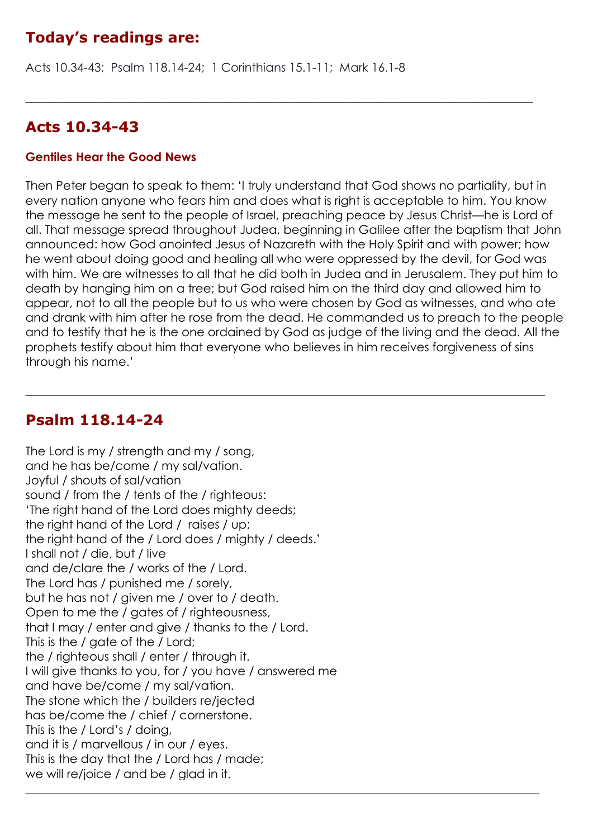# **Today's readings are:**

Acts 10.34-43; Psalm 118.14-24; 1 Corinthians 15.1-11; Mark 16.1-8

#### **Acts 10.34-43**

#### **Gentiles Hear the Good News**

Then Peter began to speak to them: 'I truly understand that God shows no partiality, but in every nation anyone who fears him and does what is right is acceptable to him. You know the message he sent to the people of Israel, preaching peace by Jesus Christ—he is Lord of all. That message spread throughout Judea, beginning in Galilee after the baptism that John announced: how God anointed Jesus of Nazareth with the Holy Spirit and with power; how he went about doing good and healing all who were oppressed by the devil, for God was with him. We are witnesses to all that he did both in Judea and in Jerusalem. They put him to death by hanging him on a tree; but God raised him on the third day and allowed him to appear, not to all the people but to us who were chosen by God as witnesses, and who ate and drank with him after he rose from the dead. He commanded us to preach to the people and to testify that he is the one ordained by God as judge of the living and the dead. All the prophets testify about him that everyone who believes in him receives forgiveness of sins through his name.'

 $\_$  , and the set of the set of the set of the set of the set of the set of the set of the set of the set of the set of the set of the set of the set of the set of the set of the set of the set of the set of the set of th

 $\_$  , and the set of the set of the set of the set of the set of the set of the set of the set of the set of the set of the set of the set of the set of the set of the set of the set of the set of the set of the set of th

### **Psalm 118.14-24**

The Lord is my / strength and my / song, and he has be/come / my sal/vation. Joyful / shouts of sal/vation sound / from the / tents of the / righteous: 'The right hand of the Lord does mighty deeds; the right hand of the Lord / raises / up; the right hand of the / Lord does / mighty / deeds.' I shall not / die, but / live and de/clare the / works of the / Lord. The Lord has / punished me / sorely, but he has not / given me / over to / death. Open to me the / gates of / righteousness, that I may / enter and give / thanks to the / Lord. This is the / gate of the / Lord; the / righteous shall / enter / through it. I will give thanks to you, for / you have / answered me and have be/come / my sal/vation. The stone which the / builders re/jected has be/come the / chief / cornerstone. This is the / Lord's / doing, and it is / marvellous / in our / eyes. This is the day that the / Lord has / made; we will re/joice / and be / glad in it.  $\_$  , and the set of the set of the set of the set of the set of the set of the set of the set of the set of the set of the set of the set of the set of the set of the set of the set of the set of the set of the set of th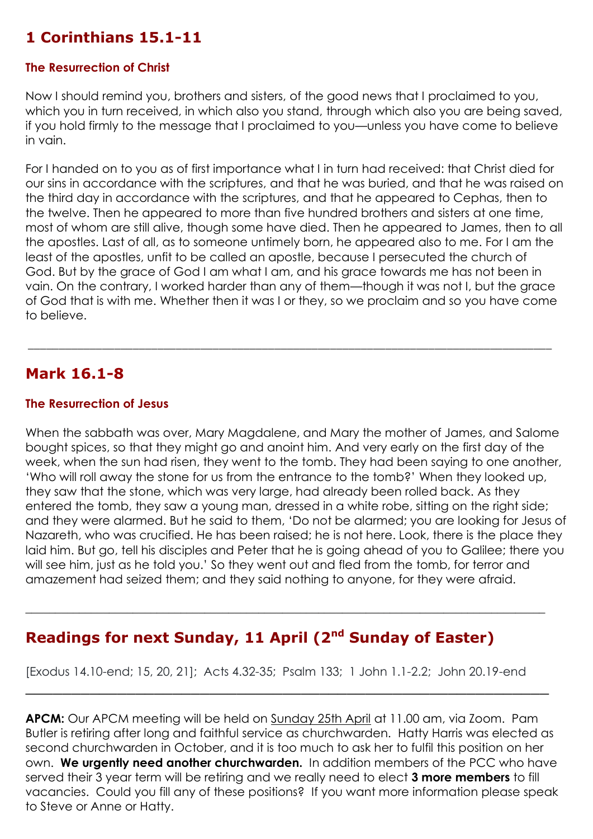# **1 Corinthians 15.1-11**

#### **The Resurrection of Christ**

Now I should remind you, brothers and sisters, of the good news that I proclaimed to you, which you in turn received, in which also you stand, through which also you are being saved, if you hold firmly to the message that I proclaimed to you—unless you have come to believe in vain.

For I handed on to you as of first importance what I in turn had received: that Christ died for our sins in accordance with the scriptures, and that he was buried, and that he was raised on the third day in accordance with the scriptures, and that he appeared to Cephas, then to the twelve. Then he appeared to more than five hundred brothers and sisters at one time, most of whom are still alive, though some have died. Then he appeared to James, then to all the apostles. Last of all, as to someone untimely born, he appeared also to me. For I am the least of the apostles, unfit to be called an apostle, because I persecuted the church of God. But by the grace of God I am what I am, and his grace towards me has not been in vain. On the contrary, I worked harder than any of them—though it was not I, but the grace of God that is with me. Whether then it was I or they, so we proclaim and so you have come to believe.

\_\_\_\_\_\_\_\_\_\_\_\_\_\_\_\_\_\_\_\_\_\_\_\_\_\_\_\_\_\_\_\_\_\_\_\_\_\_\_\_\_\_\_\_\_\_\_\_\_\_\_\_\_\_\_\_\_\_\_\_\_\_\_\_\_\_\_\_\_\_\_\_\_\_\_\_\_\_\_\_\_\_\_\_\_

#### **Mark 16.1-8**

#### **The Resurrection of Jesus**

When the sabbath was over, Mary Magdalene, and Mary the mother of James, and Salome bought spices, so that they might go and anoint him. And very early on the first day of the week, when the sun had risen, they went to the tomb. They had been saying to one another, 'Who will roll away the stone for us from the entrance to the tomb?' When they looked up, they saw that the stone, which was very large, had already been rolled back. As they entered the tomb, they saw a young man, dressed in a white robe, sitting on the right side; and they were alarmed. But he said to them, 'Do not be alarmed; you are looking for Jesus of Nazareth, who was crucified. He has been raised; he is not here. Look, there is the place they laid him. But go, tell his disciples and Peter that he is going ahead of you to Galilee; there you will see him, just as he told you.' So they went out and fled from the tomb, for terror and amazement had seized them; and they said nothing to anyone, for they were afraid.

### **Readings for next Sunday, 11 April (2<sup>nd</sup> Sunday of Easter)**

[Exodus 14.10-end; 15, 20, 21]; Acts 4.32-35; Psalm 133; 1 John 1.1-2.2; John 20.19-end

\_\_\_\_\_\_\_\_\_\_\_\_\_\_\_\_\_\_\_\_\_\_\_\_\_\_\_\_\_\_\_\_\_\_\_\_\_\_\_\_\_\_\_\_\_\_\_\_\_\_\_\_\_\_\_\_\_

 $\_$  , and the set of the set of the set of the set of the set of the set of the set of the set of the set of the set of the set of the set of the set of the set of the set of the set of the set of the set of the set of th

**APCM:** Our APCM meeting will be held on Sunday 25th April at 11.00 am, via Zoom. Pam Butler is retiring after long and faithful service as churchwarden. Hatty Harris was elected as second churchwarden in October, and it is too much to ask her to fulfil this position on her own. **We urgently need another churchwarden.** In addition members of the PCC who have served their 3 year term will be retiring and we really need to elect **3 more members** to fill vacancies. Could you fill any of these positions? If you want more information please speak to Steve or Anne or Hatty.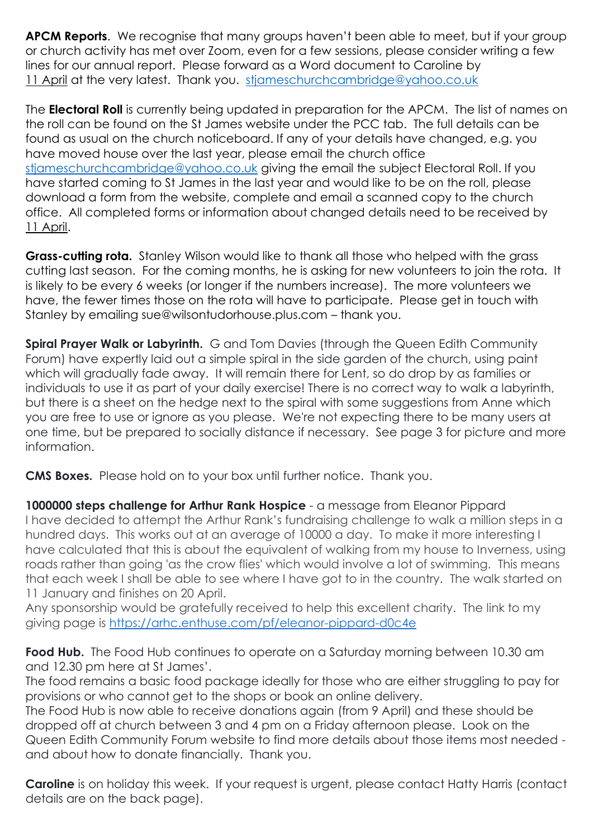**APCM Reports**. We recognise that many groups haven't been able to meet, but if your group or church activity has met over Zoom, even for a few sessions, please consider writing a few lines for our annual report. Please forward as a Word document to Caroline by 11 April at the very latest. Thank you. [stjameschurchcambridge@yahoo.co.uk](mailto:stjameschurchcambridge@yahoo.co.uk)

The **Electoral Roll** is currently being updated in preparation for the APCM. The list of names on the roll can be found on the St James website under the PCC tab. The full details can be found as usual on the church noticeboard. If any of your details have changed, e.g. you have moved house over the last year, please email the church office [stjameschurchcambridge@yahoo.co.uk](mailto:stjameschurchcambridge@yahoo.co.uk) giving the email the subject Electoral Roll. If you have started coming to St James in the last year and would like to be on the roll, please download a form from the website, complete and email a scanned copy to the church office. All completed forms or information about changed details need to be received by 11 April.

**Grass-cutting rota.** Stanley Wilson would like to thank all those who helped with the grass cutting last season. For the coming months, he is asking for new volunteers to join the rota. It is likely to be every 6 weeks (or longer if the numbers increase). The more volunteers we have, the fewer times those on the rota will have to participate. Please get in touch with Stanley by emailing sue@wilsontudorhouse.plus.com – thank you.

**Spiral Prayer Walk or Labyrinth.** G and Tom Davies (through the Queen Edith Community Forum) have expertly laid out a simple spiral in the side garden of the church, using paint which will gradually fade away. It will remain there for Lent, so do drop by as families or individuals to use it as part of your daily exercise! There is no correct way to walk a labyrinth, but there is a sheet on the hedge next to the spiral with some suggestions from Anne which you are free to use or ignore as you please. We're not expecting there to be many users at one time, but be prepared to socially distance if necessary. See page 3 for picture and more information.

**CMS Boxes.** Please hold on to your box until further notice. Thank you.

**1000000 steps challenge for Arthur Rank Hospice** - a message from Eleanor Pippard I have decided to attempt the Arthur Rank's fundraising challenge to walk a million steps in a hundred days. This works out at an average of 10000 a day. To make it more interesting I have calculated that this is about the equivalent of walking from my house to Inverness, using roads rather than going 'as the crow flies' which would involve a lot of swimming. This means that each week I shall be able to see where I have got to in the country. The walk started on 11 January and finishes on 20 April.

Any sponsorship would be gratefully received to help this excellent charity. The link to my giving page is <https://arhc.enthuse.com/pf/eleanor-pippard-d0c4e>

**Food Hub.** The Food Hub continues to operate on a Saturday morning between 10.30 am and 12.30 pm here at St James'.

The food remains a basic food package ideally for those who are either struggling to pay for provisions or who cannot get to the shops or book an online delivery.

The Food Hub is now able to receive donations again (from 9 April) and these should be dropped off at church between 3 and 4 pm on a Friday afternoon please. Look on the Queen Edith Community Forum website to find more details about those items most needed and about how to donate financially. Thank you.

**Caroline** is on holiday this week. If your request is urgent, please contact Hatty Harris (contact details are on the back page).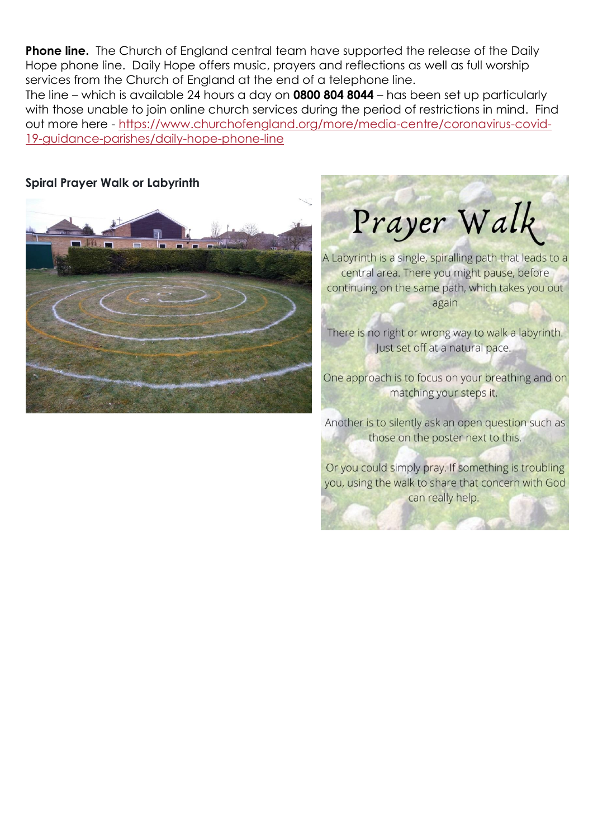**Phone line.** The Church of England central team have supported the release of the Daily Hope phone line. Daily Hope offers music, prayers and reflections as well as full worship services from the Church of England at the end of a telephone line.

The line – which is available 24 hours a day on **0800 804 8044** – has been set up particularly with those unable to join online church services during the period of restrictions in mind. Find out more here - [https://www.churchofengland.org/more/media-centre/coronavirus-covid-](https://www.churchofengland.org/more/media-centre/coronavirus-covid-19-guidance-parishes/daily-hope-phone-line)[19-guidance-parishes/daily-hope-phone-line](https://www.churchofengland.org/more/media-centre/coronavirus-covid-19-guidance-parishes/daily-hope-phone-line)

#### **Spiral Prayer Walk or Labyrinth**

Prayer Walk

A Labyrinth is a single, spiralling path that leads to a central area. There you might pause, before continuing on the same path, which takes you out again

There is no right or wrong way to walk a labyrinth. lust set off at a natural pace.

One approach is to focus on your breathing and on matching your steps it.

Another is to silently ask an open question such as those on the poster next to this.

Or you could simply pray. If something is troubling you, using the walk to share that concern with God can really help.